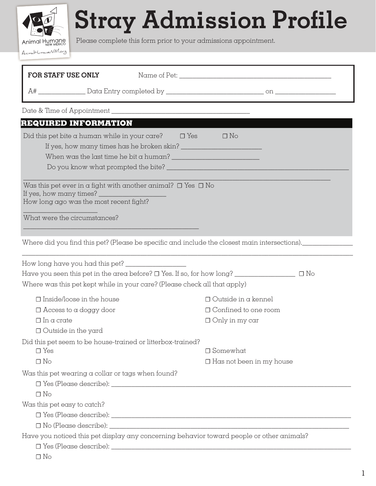**Stray Admission Profile**

Animal Humane AnimalHumaneNM.org

Please complete this form prior to your admissions appointment.

| FOR STAFF USE ONLY                                                                                                                                                           |                                 |  |
|------------------------------------------------------------------------------------------------------------------------------------------------------------------------------|---------------------------------|--|
|                                                                                                                                                                              |                                 |  |
|                                                                                                                                                                              |                                 |  |
| <b>REQUIRED INFORMATION</b>                                                                                                                                                  |                                 |  |
| Did this pet bite a human while in your care? $\square$ Yes<br>When was the last time he bit a human? $\frac{1}{2}$ . The set of the last time he bit a human?               | $\Box$ No                       |  |
| Was this pet ever in a fight with another animal? $\Box$ Yes $\Box$ No<br>If yes, how many times?<br>How long ago was the most recent fight?<br>What were the circumstances? |                                 |  |
| Where did you find this pet? (Please be specific and include the closest main intersections)._____________                                                                   |                                 |  |
|                                                                                                                                                                              |                                 |  |
| Have you seen this pet in the area before? $\square$ Yes. If so, for how long? _______________________ $\square$ No                                                          |                                 |  |
| Where was this pet kept while in your care? (Please check all that apply)                                                                                                    |                                 |  |
| $\square$ Inside/loose in the house                                                                                                                                          | $\Box$ Outside in a kennel      |  |
| $\Box$ Access to a doggy door                                                                                                                                                | $\Box$ Confined to one room     |  |
| $\Box$ In a crate                                                                                                                                                            | $\Box$ Only in my car           |  |
| $\Box$ Outside in the yard                                                                                                                                                   |                                 |  |
| Did this pet seem to be house-trained or litterbox-trained?                                                                                                                  |                                 |  |
| $\Box$ Yes                                                                                                                                                                   | $\Box$ Somewhat                 |  |
| $\Box$ No                                                                                                                                                                    | $\Box$ Has not been in my house |  |
| Was this pet wearing a collar or tags when found?                                                                                                                            |                                 |  |
|                                                                                                                                                                              |                                 |  |
| $\Box$ No                                                                                                                                                                    |                                 |  |
| Was this pet easy to catch?                                                                                                                                                  |                                 |  |
|                                                                                                                                                                              |                                 |  |
|                                                                                                                                                                              |                                 |  |
| Have you noticed this pet display any concerning behavior toward people or other animals?                                                                                    |                                 |  |
|                                                                                                                                                                              |                                 |  |
| $\Box$ No                                                                                                                                                                    |                                 |  |